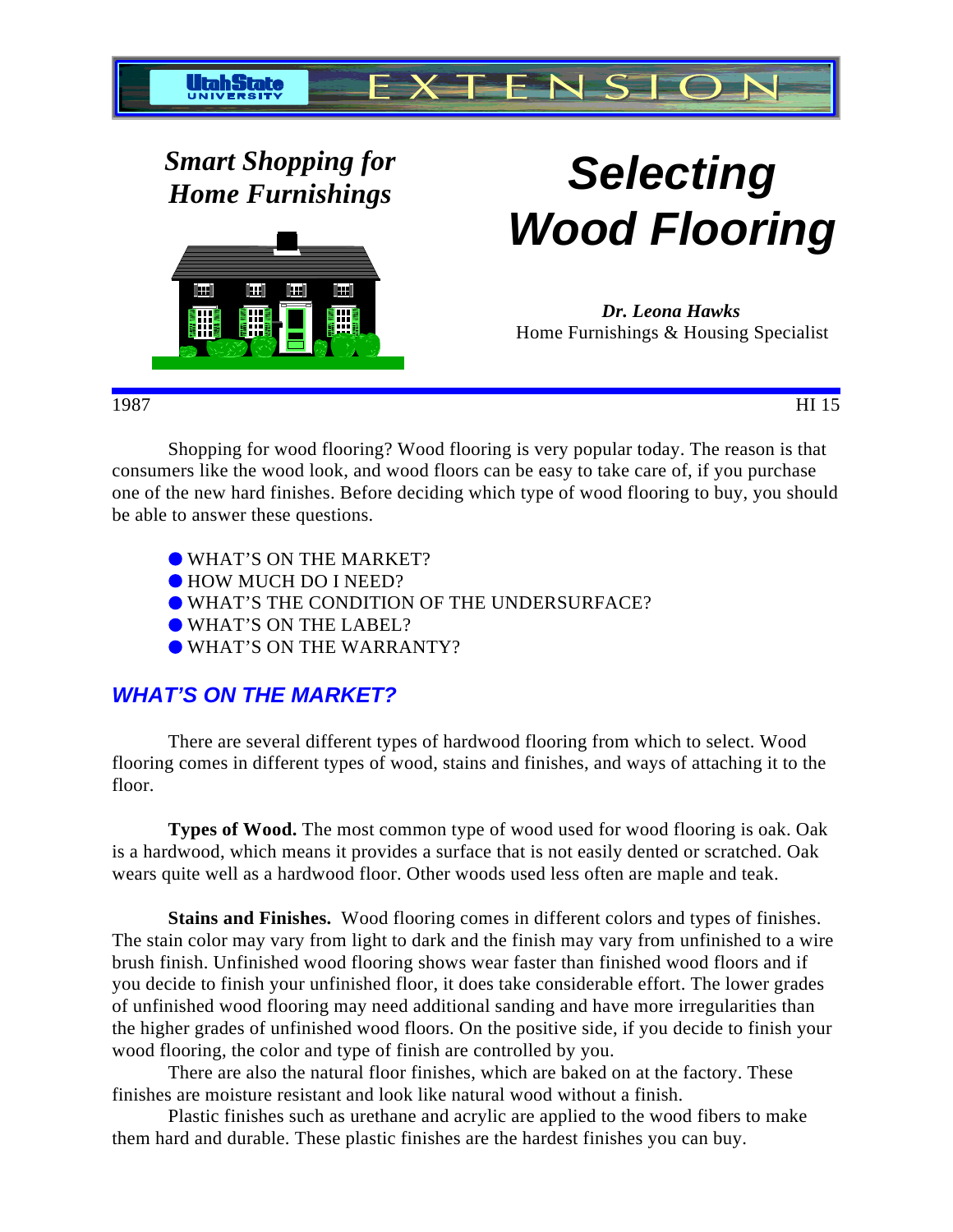

*Smart Shopping for*



# *Home Furnishings* **Selecting Wood Flooring**

*Dr. Leona Hawks* Home Furnishings & Housing Specialist

#### 1987 HI 15

Shopping for wood flooring? Wood flooring is very popular today. The reason is that consumers like the wood look, and wood floors can be easy to take care of, if you purchase one of the new hard finishes. Before deciding which type of wood flooring to buy, you should be able to answer these questions.

- WHAT'S ON THE MARKET?
- $\bullet$  HOW MUCH DO I NEED?
- WHAT'S THE CONDITION OF THE UNDERSURFACE?
- WHAT'S ON THE LABEL?
- WHAT'S ON THE WARRANTY?

# **WHAT'S ON THE MARKET?**

There are several different types of hardwood flooring from which to select. Wood flooring comes in different types of wood, stains and finishes, and ways of attaching it to the floor.

**Types of Wood.** The most common type of wood used for wood flooring is oak. Oak is a hardwood, which means it provides a surface that is not easily dented or scratched. Oak wears quite well as a hardwood floor. Other woods used less often are maple and teak.

**Stains and Finishes.** Wood flooring comes in different colors and types of finishes. The stain color may vary from light to dark and the finish may vary from unfinished to a wire brush finish. Unfinished wood flooring shows wear faster than finished wood floors and if you decide to finish your unfinished floor, it does take considerable effort. The lower grades of unfinished wood flooring may need additional sanding and have more irregularities than the higher grades of unfinished wood floors. On the positive side, if you decide to finish your wood flooring, the color and type of finish are controlled by you.

There are also the natural floor finishes, which are baked on at the factory. These finishes are moisture resistant and look like natural wood without a finish.

Plastic finishes such as urethane and acrylic are applied to the wood fibers to make them hard and durable. These plastic finishes are the hardest finishes you can buy.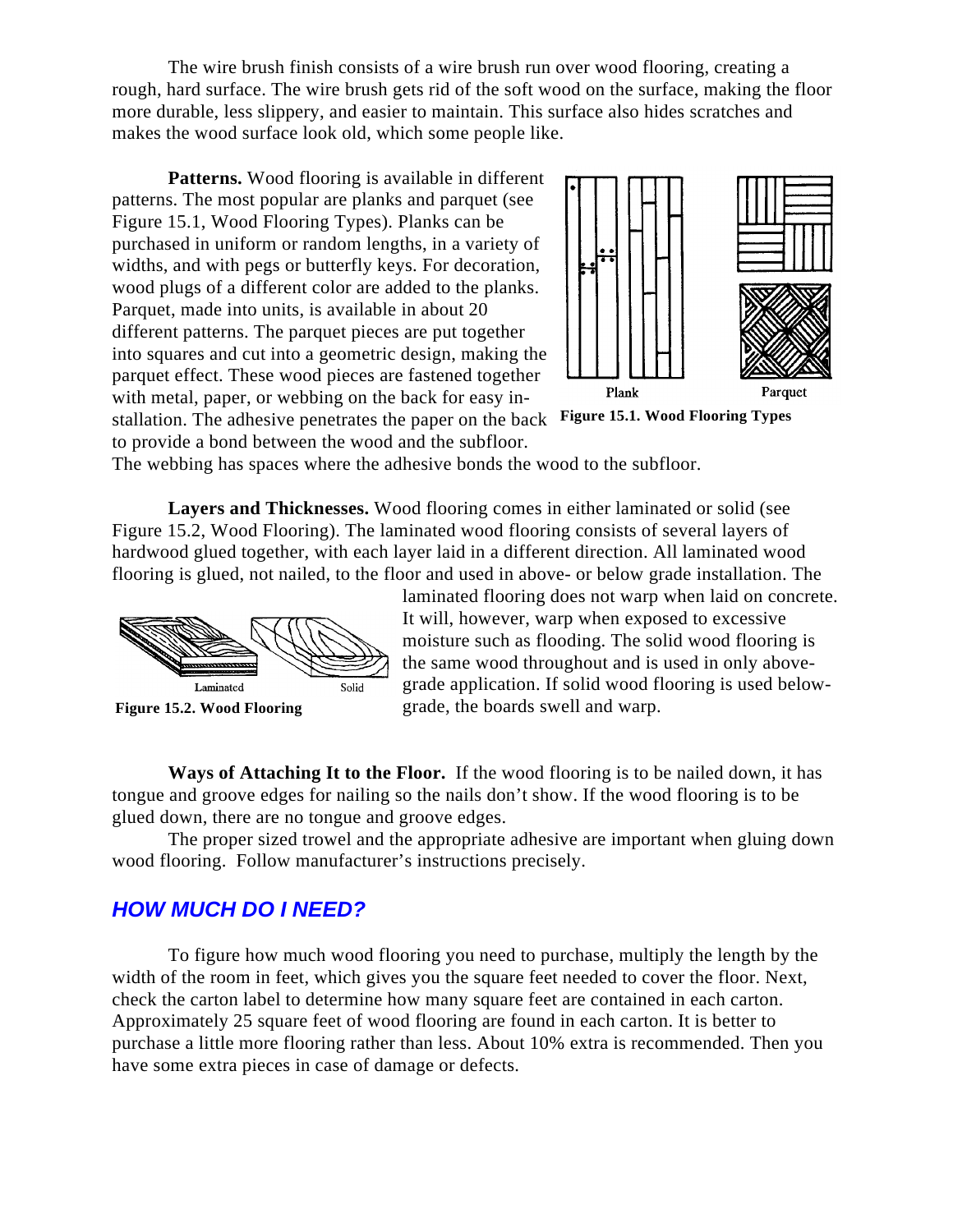The wire brush finish consists of a wire brush run over wood flooring, creating a rough, hard surface. The wire brush gets rid of the soft wood on the surface, making the floor more durable, less slippery, and easier to maintain. This surface also hides scratches and makes the wood surface look old, which some people like.

**Patterns.** Wood flooring is available in different patterns. The most popular are planks and parquet (see Figure 15.1, Wood Flooring Types). Planks can be purchased in uniform or random lengths, in a variety of widths, and with pegs or butterfly keys. For decoration, wood plugs of a different color are added to the planks. Parquet, made into units, is available in about 20 different patterns. The parquet pieces are put together into squares and cut into a geometric design, making the parquet effect. These wood pieces are fastened together with metal, paper, or webbing on the back for easy in-



**Figure 15.1. Wood Flooring Types** stallation. The adhesive penetrates the paper on the back

to provide a bond between the wood and the subfloor.

The webbing has spaces where the adhesive bonds the wood to the subfloor.

**Layers and Thicknesses.** Wood flooring comes in either laminated or solid (see Figure 15.2, Wood Flooring). The laminated wood flooring consists of several layers of hardwood glued together, with each layer laid in a different direction. All laminated wood flooring is glued, not nailed, to the floor and used in above- or below grade installation. The



**Figure 15.2. Wood Flooring** 

laminated flooring does not warp when laid on concrete. It will, however, warp when exposed to excessive moisture such as flooding. The solid wood flooring is the same wood throughout and is used in only abovegrade application. If solid wood flooring is used belowgrade, the boards swell and warp.

**Ways of Attaching It to the Floor.** If the wood flooring is to be nailed down, it has tongue and groove edges for nailing so the nails don't show. If the wood flooring is to be glued down, there are no tongue and groove edges.

The proper sized trowel and the appropriate adhesive are important when gluing down wood flooring. Follow manufacturer's instructions precisely.

# **HOW MUCH DO I NEED?**

To figure how much wood flooring you need to purchase, multiply the length by the width of the room in feet, which gives you the square feet needed to cover the floor. Next, check the carton label to determine how many square feet are contained in each carton. Approximately 25 square feet of wood flooring are found in each carton. It is better to purchase a little more flooring rather than less. About 10% extra is recommended. Then you have some extra pieces in case of damage or defects.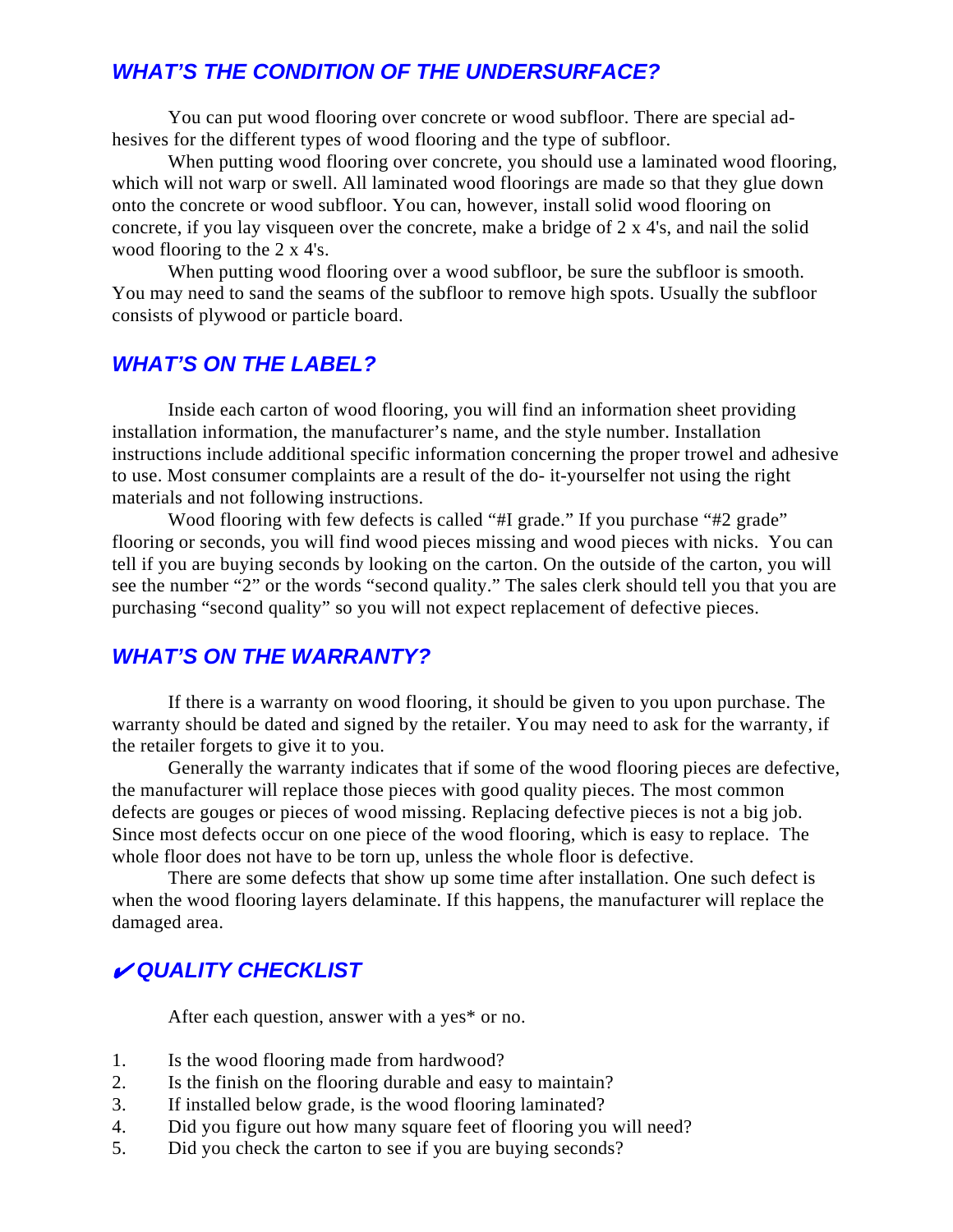# **WHAT'S THE CONDITION OF THE UNDERSURFACE?**

You can put wood flooring over concrete or wood subfloor. There are special adhesives for the different types of wood flooring and the type of subfloor.

When putting wood flooring over concrete, you should use a laminated wood flooring, which will not warp or swell. All laminated wood floorings are made so that they glue down onto the concrete or wood subfloor. You can, however, install solid wood flooring on concrete, if you lay visqueen over the concrete, make a bridge of 2 x 4's, and nail the solid wood flooring to the 2 x 4's.

When putting wood flooring over a wood subfloor, be sure the subfloor is smooth. You may need to sand the seams of the subfloor to remove high spots. Usually the subfloor consists of plywood or particle board.

## **WHAT'S ON THE LABEL?**

Inside each carton of wood flooring, you will find an information sheet providing installation information, the manufacturer's name, and the style number. Installation instructions include additional specific information concerning the proper trowel and adhesive to use. Most consumer complaints are a result of the do- it-yourselfer not using the right materials and not following instructions.

Wood flooring with few defects is called "#I grade." If you purchase "#2 grade" flooring or seconds, you will find wood pieces missing and wood pieces with nicks. You can tell if you are buying seconds by looking on the carton. On the outside of the carton, you will see the number "2" or the words "second quality." The sales clerk should tell you that you are purchasing "second quality" so you will not expect replacement of defective pieces.

## **WHAT'S ON THE WARRANTY?**

If there is a warranty on wood flooring, it should be given to you upon purchase. The warranty should be dated and signed by the retailer. You may need to ask for the warranty, if the retailer forgets to give it to you.

Generally the warranty indicates that if some of the wood flooring pieces are defective, the manufacturer will replace those pieces with good quality pieces. The most common defects are gouges or pieces of wood missing. Replacing defective pieces is not a big job. Since most defects occur on one piece of the wood flooring, which is easy to replace. The whole floor does not have to be torn up, unless the whole floor is defective.

There are some defects that show up some time after installation. One such defect is when the wood flooring layers delaminate. If this happens, the manufacturer will replace the damaged area.

## **QUALITY CHECKLIST**

After each question, answer with a yes\* or no.

- 1. Is the wood flooring made from hardwood?
- 2. Is the finish on the flooring durable and easy to maintain?
- 3. If installed below grade, is the wood flooring laminated?
- 4. Did you figure out how many square feet of flooring you will need?
- 5. Did you check the carton to see if you are buying seconds?